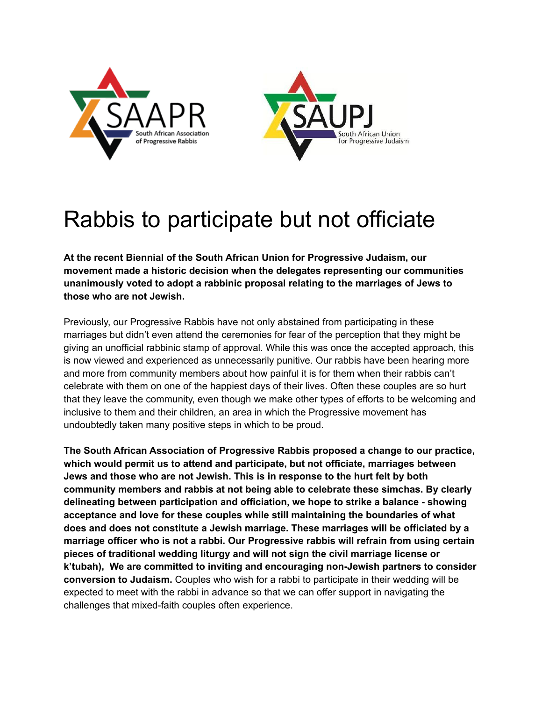



## Rabbis to participate but not officiate

**At the recent Biennial of the South African Union for Progressive Judaism, our movement made a historic decision when the delegates representing our communities unanimously voted to adopt a rabbinic proposal relating to the marriages of Jews to those who are not Jewish.**

Previously, our Progressive Rabbis have not only abstained from participating in these marriages but didn't even attend the ceremonies for fear of the perception that they might be giving an unofficial rabbinic stamp of approval. While this was once the accepted approach, this is now viewed and experienced as unnecessarily punitive. Our rabbis have been hearing more and more from community members about how painful it is for them when their rabbis can't celebrate with them on one of the happiest days of their lives. Often these couples are so hurt that they leave the community, even though we make other types of efforts to be welcoming and inclusive to them and their children, an area in which the Progressive movement has undoubtedly taken many positive steps in which to be proud.

**The South African Association of Progressive Rabbis proposed a change to our practice, which would permit us to attend and participate, but not officiate, marriages between Jews and those who are not Jewish. This is in response to the hurt felt by both community members and rabbis at not being able to celebrate these simchas. By clearly delineating between participation and officiation, we hope to strike a balance - showing acceptance and love for these couples while still maintaining the boundaries of what does and does not constitute a Jewish marriage. These marriages will be officiated by a marriage officer who is not a rabbi. Our Progressive rabbis will refrain from using certain pieces of traditional wedding liturgy and will not sign the civil marriage license or k'tubah), We are committed to inviting and encouraging non-Jewish partners to consider conversion to Judaism.** Couples who wish for a rabbi to participate in their wedding will be expected to meet with the rabbi in advance so that we can offer support in navigating the challenges that mixed-faith couples often experience.